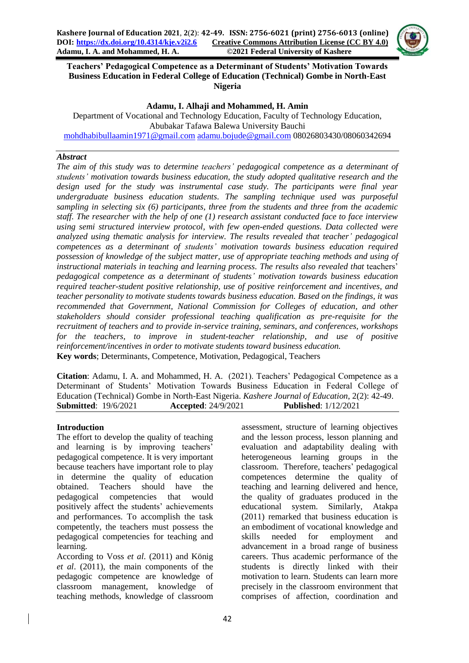

**Teachers' Pedagogical Competence as a Determinant of Students' Motivation Towards Business Education in Federal College of Education (Technical) Gombe in North-East Nigeria**

#### **Adamu, I. Alhaji and Mohammed, H. Amin**

Department of Vocational and Technology Education, Faculty of Technology Education, Abubakar Tafawa Balewa University Bauchi [mohdhabibullaamin1971@gmail.com](mailto:mohdhabibullaamin1971@gmail.com) [adamu.bojude@gmail.com](mailto:adamu.bojude@gmail.com) 08026803430/08060342694

#### *Abstract*

*The aim of this study was to determine teachers' pedagogical competence as a determinant of students' motivation towards business education, the study adopted qualitative research and the design used for the study was instrumental case study. The participants were final year undergraduate business education students. The sampling technique used was purposeful sampling in selecting six (6) participants, three from the students and three from the academic staff. The researcher with the help of one (1) research assistant conducted face to face interview using semi structured interview protocol, with few open-ended questions. Data collected were analyzed using thematic analysis for interview. The results revealed that teacher' pedagogical competences as a determinant of students' motivation towards business education required possession of knowledge of the subject matter, use of appropriate teaching methods and using of*  instructional materials in teaching and learning process. The results also revealed that teachers' *pedagogical competence as a determinant of students' motivation towards business education required teacher-student positive relationship, use of positive reinforcement and incentives, and teacher personality to motivate students towards business education. Based on the findings, it was recommended that Government, National Commission for Colleges of education, and other stakeholders should consider professional teaching qualification as pre-requisite for the recruitment of teachers and to provide in-service training, seminars, and conferences, workshops for the teachers, to improve in student-teacher relationship, and use of positive reinforcement/incentives in order to motivate students toward business education.* **Key words**; Determinants, Competence, Motivation, Pedagogical, Teachers

**Citation**: Adamu, I. A. and Mohammed, H. A. (2021). Teachers' Pedagogical Competence as a Determinant of Students' Motivation Towards Business Education in Federal College of Education (Technical) Gombe in North-East Nigeria. *Kashere Journal of Education*, 2(2): 42-49. **Submitted**: 19/6/2021 **Accepted**: 24/9/2021 **Published**: 1/12/2021

#### **Introduction**

The effort to develop the quality of teaching and learning is by improving teachers' pedagogical competence. It is very important because teachers have important role to play in determine the quality of education obtained. Teachers should have the pedagogical competencies that would positively affect the students' achievements and performances. To accomplish the task competently, the teachers must possess the pedagogical competencies for teaching and learning.

According to Voss *et al*. (2011) and König *et al*. (2011), the main components of the pedagogic competence are knowledge of classroom management, knowledge of teaching methods, knowledge of classroom assessment, structure of learning objectives and the lesson process, lesson planning and evaluation and adaptability dealing with heterogeneous learning groups in the classroom. Therefore, teachers' pedagogical competences determine the quality of teaching and learning delivered and hence, the quality of graduates produced in the educational system. Similarly, Atakpa (2011) remarked that business education is an embodiment of vocational knowledge and skills needed for employment and advancement in a broad range of business careers. Thus academic performance of the students is directly linked with their motivation to learn. Students can learn more precisely in the classroom environment that comprises of affection, coordination and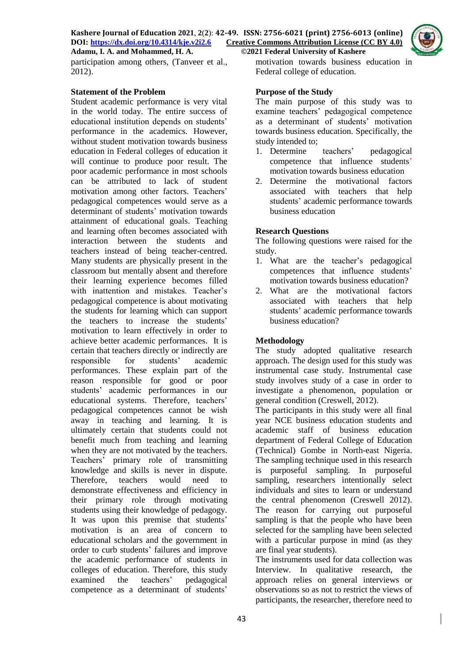

participation among others, (Tanveer et al., 2012).

### **Statement of the Problem**

Student academic performance is very vital in the world today. The entire success of educational institution depends on students' performance in the academics. However, without student motivation towards business education in Federal colleges of education it will continue to produce poor result. The poor academic performance in most schools can be attributed to lack of student motivation among other factors. Teachers' pedagogical competences would serve as a determinant of students' motivation towards attainment of educational goals. Teaching and learning often becomes associated with interaction between the students and teachers instead of being teacher-centred. Many students are physically present in the classroom but mentally absent and therefore their learning experience becomes filled with inattention and mistakes. Teacher's pedagogical competence is about motivating the students for learning which can support the teachers to increase the students' motivation to learn effectively in order to achieve better academic performances. It is certain that teachers directly or indirectly are responsible for students' academic performances. These explain part of the reason responsible for good or poor students' academic performances in our educational systems. Therefore, teachers' pedagogical competences cannot be wish away in teaching and learning. It is ultimately certain that students could not benefit much from teaching and learning when they are not motivated by the teachers. Teachers' primary role of transmitting knowledge and skills is never in dispute. Therefore, teachers would need to demonstrate effectiveness and efficiency in their primary role through motivating students using their knowledge of pedagogy. It was upon this premise that students' motivation is an area of concern to educational scholars and the government in order to curb students' failures and improve the academic performance of students in colleges of education. Therefore, this study examined the teachers' pedagogical competence as a determinant of students'

motivation towards business education in Federal college of education.

## **Purpose of the Study**

The main purpose of this study was to examine teachers' pedagogical competence as a determinant of students' motivation towards business education. Specifically, the study intended to;

- 1. Determine teachers' pedagogical competence that influence students' motivation towards business education
- 2. Determine the motivational factors associated with teachers that help students' academic performance towards business education

## **Research Questions**

The following questions were raised for the study.

- 1. What are the teacher's pedagogical competences that influence students' motivation towards business education?
- 2. What are the motivational factors associated with teachers that help students' academic performance towards business education?

## **Methodology**

The study adopted qualitative research approach. The design used for this study was instrumental case study. Instrumental case study involves study of a case in order to investigate a phenomenon, population or general condition (Creswell, 2012).

The participants in this study were all final year NCE business education students and academic staff of business education department of Federal College of Education (Technical) Gombe in North-east Nigeria. The sampling technique used in this research is purposeful sampling. In purposeful sampling, researchers intentionally select individuals and sites to learn or understand the central phenomenon (Creswell 2012). The reason for carrying out purposeful sampling is that the people who have been selected for the sampling have been selected with a particular purpose in mind (as they are final year students).

The instruments used for data collection was Interview. In qualitative research, the approach relies on general interviews or observations so as not to restrict the views of participants, the researcher, therefore need to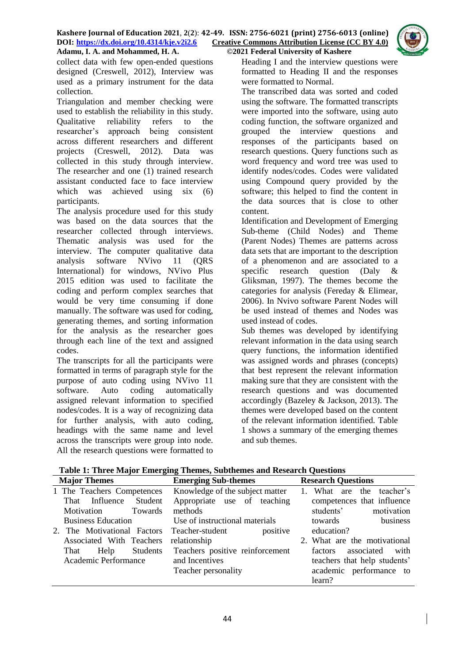

collect data with few open-ended questions designed (Creswell, 2012), Interview was used as a primary instrument for the data collection.

Triangulation and member checking were used to establish the reliability in this study. Qualitative reliability refers to the researcher's approach being consistent across different researchers and different projects (Creswell, 2012). Data was collected in this study through interview. The researcher and one (1) trained research assistant conducted face to face interview which was achieved using six (6) participants.

The analysis procedure used for this study was based on the data sources that the researcher collected through interviews. Thematic analysis was used for the interview. The computer qualitative data analysis software NVivo 11 (QRS International) for windows, NVivo Plus 2015 edition was used to facilitate the coding and perform complex searches that would be very time consuming if done manually. The software was used for coding, generating themes, and sorting information for the analysis as the researcher goes through each line of the text and assigned codes.

The transcripts for all the participants were formatted in terms of paragraph style for the purpose of auto coding using NVivo 11 software. Auto coding automatically assigned relevant information to specified nodes/codes. It is a way of recognizing data for further analysis, with auto coding, headings with the same name and level across the transcripts were group into node. All the research questions were formatted to

Heading I and the interview questions were formatted to Heading II and the responses were formatted to Normal.

The transcribed data was sorted and coded using the software. The formatted transcripts were imported into the software, using auto coding function, the software organized and grouped the interview questions and responses of the participants based on research questions. Query functions such as word frequency and word tree was used to identify nodes/codes. Codes were validated using Compound query provided by the software; this helped to find the content in the data sources that is close to other content.

Identification and Development of Emerging Sub-theme (Child Nodes) and Theme (Parent Nodes) Themes are patterns across data sets that are important to the description of a phenomenon and are associated to a specific research question (Daly & Gliksman, 1997). The themes become the categories for analysis (Fereday & Elimear, 2006). In Nvivo software Parent Nodes will be used instead of themes and Nodes was used instead of codes.

Sub themes was developed by identifying relevant information in the data using search query functions, the information identified was assigned words and phrases (concepts) that best represent the relevant information making sure that they are consistent with the research questions and was documented accordingly (Bazeley & Jackson, 2013). The themes were developed based on the content of the relevant information identified. Table 1 shows a summary of the emerging themes and sub themes.

| <b>Major Themes</b>         | <b>Emerging Sub-themes</b>      | <b>Research Questions</b>     |
|-----------------------------|---------------------------------|-------------------------------|
| 1 The Teachers Competences  | Knowledge of the subject matter | 1. What are the teacher's     |
| Student<br>That Influence   | Appropriate use of teaching     | competences that influence    |
| Towards<br>Motivation       | methods                         | motivation<br>students'       |
| <b>Business Education</b>   | Use of instructional materials  | business<br>towards           |
| 2. The Motivational Factors | positive<br>Teacher-student     | education?                    |
| Associated With Teachers    | relationship                    | 2. What are the motivational  |
| Students<br>That<br>Help    | Teachers positive reinforcement | associated<br>with<br>factors |
| Academic Performance        | and Incentives                  | teachers that help students'  |
|                             | Teacher personality             | academic performance to       |
|                             |                                 | learn?                        |

**Table 1: Three Major Emerging Themes, Subthemes and Research Questions**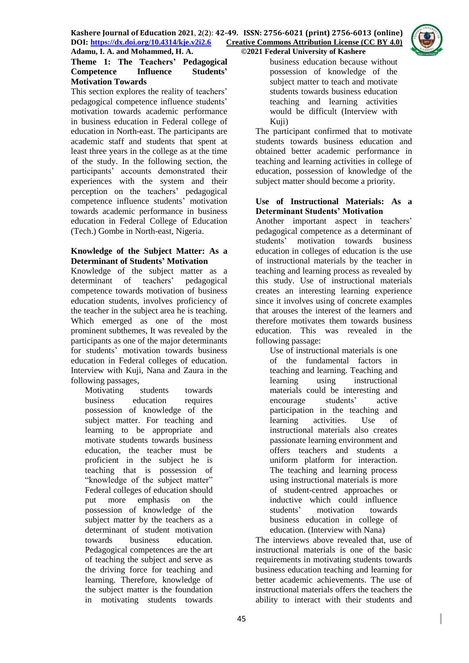

## **Theme 1: The Teachers' Pedagogical Competence Influence Students' Motivation Towards**

This section explores the reality of teachers' pedagogical competence influence students' motivation towards academic performance in business education in Federal college of education in North-east. The participants are academic staff and students that spent at least three years in the college as at the time of the study. In the following section, the participants' accounts demonstrated their experiences with the system and their perception on the teachers' pedagogical competence influence students' motivation towards academic performance in business education in Federal College of Education (Tech.) Gombe in North-east, Nigeria.

## **Knowledge of the Subject Matter: As a Determinant of Students' Motivation**

Knowledge of the subject matter as a determinant of teachers' pedagogical competence towards motivation of business education students, involves proficiency of the teacher in the subject area he is teaching. Which emerged as one of the most prominent subthemes, It was revealed by the participants as one of the major determinants for students' motivation towards business education in Federal colleges of education. Interview with Kuji, Nana and Zaura in the following passages,

Motivating students towards business education requires possession of knowledge of the subject matter. For teaching and learning to be appropriate and motivate students towards business education, the teacher must be proficient in the subject he is teaching that is possession of "knowledge of the subject matter" Federal colleges of education should put more emphasis on the possession of knowledge of the subject matter by the teachers as a determinant of student motivation towards business education. Pedagogical competences are the art of teaching the subject and serve as the driving force for teaching and learning. Therefore, knowledge of the subject matter is the foundation in motivating students towards

business education because without possession of knowledge of the subject matter to teach and motivate students towards business education teaching and learning activities would be difficult (Interview with Kuji)

The participant confirmed that to motivate students towards business education and obtained better academic performance in teaching and learning activities in college of education, possession of knowledge of the subject matter should become a priority.

#### **Use of Instructional Materials: As a Determinant Students' Motivation**

Another important aspect in teachers' pedagogical competence as a determinant of students' motivation towards business education in colleges of education is the use of instructional materials by the teacher in teaching and learning process as revealed by this study. Use of instructional materials creates an interesting learning experience since it involves using of concrete examples that arouses the interest of the learners and therefore motivates them towards business education. This was revealed in the following passage:

Use of instructional materials is one of the fundamental factors in teaching and learning. Teaching and learning using instructional materials could be interesting and encourage students' active participation in the teaching and learning activities. Use of instructional materials also creates passionate learning environment and offers teachers and students a uniform platform for interaction. The teaching and learning process using instructional materials is more of student-centred approaches or inductive which could influence students' motivation towards business education in college of education. (Interview with Nana)

The interviews above revealed that, use of instructional materials is one of the basic requirements in motivating students towards business education teaching and learning for better academic achievements. The use of instructional materials offers the teachers the ability to interact with their students and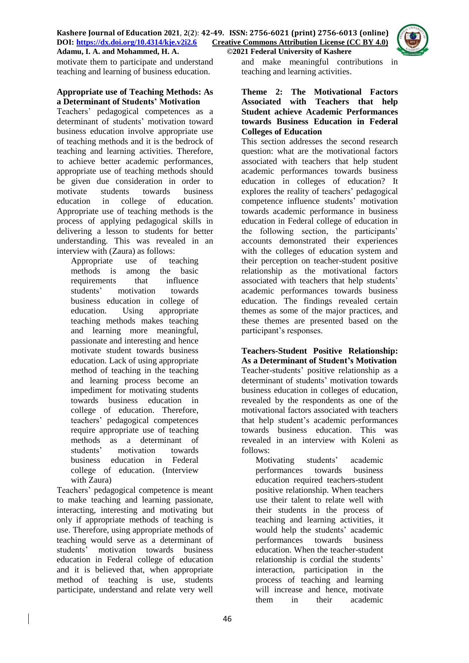

motivate them to participate and understand teaching and learning of business education.

#### **Appropriate use of Teaching Methods: As a Determinant of Students' Motivation**

Teachers' pedagogical competences as a determinant of students' motivation toward business education involve appropriate use of teaching methods and it is the bedrock of teaching and learning activities. Therefore, to achieve better academic performances, appropriate use of teaching methods should be given due consideration in order to motivate students towards business education in college of education. Appropriate use of teaching methods is the process of applying pedagogical skills in delivering a lesson to students for better understanding. This was revealed in an interview with (Zaura) as follows:

Appropriate use of teaching methods is among the basic requirements that influence students' motivation towards business education in college of education. Using appropriate teaching methods makes teaching and learning more meaningful, passionate and interesting and hence motivate student towards business education. Lack of using appropriate method of teaching in the teaching and learning process become an impediment for motivating students towards business education in college of education. Therefore, teachers' pedagogical competences require appropriate use of teaching methods as a determinant of<br>students' motivation towards motivation towards business education in Federal college of education. (Interview with Zaura)

Teachers' pedagogical competence is meant to make teaching and learning passionate, interacting, interesting and motivating but only if appropriate methods of teaching is use. Therefore, using appropriate methods of teaching would serve as a determinant of students' motivation towards business education in Federal college of education and it is believed that, when appropriate method of teaching is use, students participate, understand and relate very well

and make meaningful contributions in teaching and learning activities.

### **Theme 2: The Motivational Factors Associated with Teachers that help Student achieve Academic Performances towards Business Education in Federal Colleges of Education**

This section addresses the second research question: what are the motivational factors associated with teachers that help student academic performances towards business education in colleges of education? It explores the reality of teachers' pedagogical competence influence students' motivation towards academic performance in business education in Federal college of education in the following section, the participants' accounts demonstrated their experiences with the colleges of education system and their perception on teacher-student positive relationship as the motivational factors associated with teachers that help students' academic performances towards business education. The findings revealed certain themes as some of the major practices, and these themes are presented based on the participant's responses.

**Teachers-Student Positive Relationship: As a Determinant of Student's Motivation** Teacher-students' positive relationship as a determinant of students' motivation towards business education in colleges of education, revealed by the respondents as one of the motivational factors associated with teachers that help student's academic performances towards business education. This was revealed in an interview with Koleni as follows:

Motivating students' academic performances towards business education required teachers-student positive relationship. When teachers use their talent to relate well with their students in the process of teaching and learning activities, it would help the students' academic performances towards business education. When the teacher-student relationship is cordial the students' interaction, participation in the process of teaching and learning will increase and hence, motivate them in their academic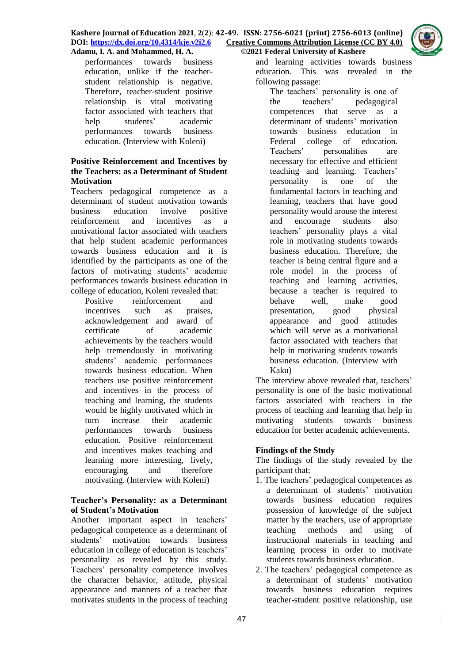

### **Positive Reinforcement and Incentives by the Teachers: as a Determinant of Student Motivation**

Teachers pedagogical competence as a determinant of student motivation towards business education involve positive reinforcement and incentives as a motivational factor associated with teachers that help student academic performances towards business education and it is identified by the participants as one of the factors of motivating students' academic performances towards business education in college of education, Koleni revealed that:

Positive reinforcement and incentives such as praises, acknowledgement and award of certificate of academic achievements by the teachers would help tremendously in motivating students' academic performances towards business education. When teachers use positive reinforcement and incentives in the process of teaching and learning, the students would be highly motivated which in turn increase their academic performances towards business education. Positive reinforcement and incentives makes teaching and learning more interesting, lively, encouraging and therefore motivating. (Interview with Koleni)

## **Teacher's Personality: as a Determinant of Student's Motivation**

Another important aspect in teachers' pedagogical competence as a determinant of students' motivation towards business education in college of education is teachers' personality as revealed by this study. Teachers' personality competence involves the character behavior, attitude, physical appearance and manners of a teacher that motivates students in the process of teaching

and learning activities towards business education. This was revealed in the following passage:

The teachers' personality is one of the teachers' pedagogical competences that serve as a determinant of students' motivation towards business education in Federal college of education. Teachers' personalities are necessary for effective and efficient teaching and learning. Teachers' personality is one of the fundamental factors in teaching and learning, teachers that have good personality would arouse the interest and encourage students also teachers' personality plays a vital role in motivating students towards business education. Therefore, the teacher is being central figure and a role model in the process of teaching and learning activities, because a teacher is required to behave well, make good presentation, good physical appearance and good attitudes which will serve as a motivational factor associated with teachers that help in motivating students towards business education. (Interview with Kaku)

The interview above revealed that, teachers' personality is one of the basic motivational factors associated with teachers in the process of teaching and learning that help in motivating students towards business education for better academic achievements.

# **Findings of the Study**

The findings of the study revealed by the participant that;

- 1. The teachers' pedagogical competences as a determinant of students' motivation towards business education requires possession of knowledge of the subject matter by the teachers, use of appropriate teaching methods and using of instructional materials in teaching and learning process in order to motivate students towards business education.
- 2. The teachers' pedagogical competence as a determinant of students' motivation towards business education requires teacher-student positive relationship, use

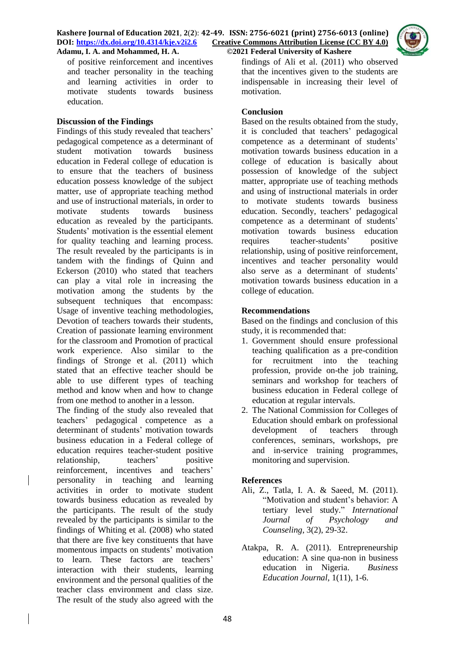of positive reinforcement and incentives and teacher personality in the teaching and learning activities in order to motivate students towards business education.

#### **Discussion of the Findings**

Findings of this study revealed that teachers' pedagogical competence as a determinant of student motivation towards business education in Federal college of education is to ensure that the teachers of business education possess knowledge of the subject matter, use of appropriate teaching method and use of instructional materials, in order to motivate students towards business education as revealed by the participants. Students' motivation is the essential element for quality teaching and learning process. The result revealed by the participants is in tandem with the findings of Quinn and Eckerson (2010) who stated that teachers can play a vital role in increasing the motivation among the students by the subsequent techniques that encompass: Usage of inventive teaching methodologies, Devotion of teachers towards their students, Creation of passionate learning environment for the classroom and Promotion of practical work experience. Also similar to the findings of Stronge et al. (2011) which stated that an effective teacher should be able to use different types of teaching method and know when and how to change from one method to another in a lesson.

The finding of the study also revealed that teachers' pedagogical competence as a determinant of students' motivation towards business education in a Federal college of education requires teacher-student positive relationship, teachers' positive reinforcement, incentives and teachers' personality in teaching and learning activities in order to motivate student towards business education as revealed by the participants. The result of the study revealed by the participants is similar to the findings of Whiting et al*.* (2008) who stated that there are five key constituents that have momentous impacts on students' motivation to learn. These factors are teachers' interaction with their students, learning environment and the personal qualities of the teacher class environment and class size. The result of the study also agreed with the

findings of Ali et al. (2011) who observed that the incentives given to the students are indispensable in increasing their level of motivation.

## **Conclusion**

Based on the results obtained from the study, it is concluded that teachers' pedagogical competence as a determinant of students' motivation towards business education in a college of education is basically about possession of knowledge of the subject matter, appropriate use of teaching methods and using of instructional materials in order to motivate students towards business education. Secondly, teachers' pedagogical competence as a determinant of students' motivation towards business education requires teacher-students' positive relationship, using of positive reinforcement, incentives and teacher personality would also serve as a determinant of students' motivation towards business education in a college of education.

#### **Recommendations**

Based on the findings and conclusion of this study, it is recommended that:

- 1. Government should ensure professional teaching qualification as a pre-condition for recruitment into the teaching profession, provide on-the job training, seminars and workshop for teachers of business education in Federal college of education at regular intervals.
- 2. The National Commission for Colleges of Education should embark on professional development of teachers through conferences, seminars, workshops, pre and in-service training programmes, monitoring and supervision.

#### **References**

- Ali, Z., Tatla, I. A. & Saeed, M. (2011). "Motivation and student's behavior: A tertiary level study." *International Journal of Psychology and Counseling*, 3(2), 29-32.
- Atakpa, R. A. (2011). Entrepreneurship education: A sine qua-non in business education in Nigeria. *Business Education Journal*, 1(11), 1-6.